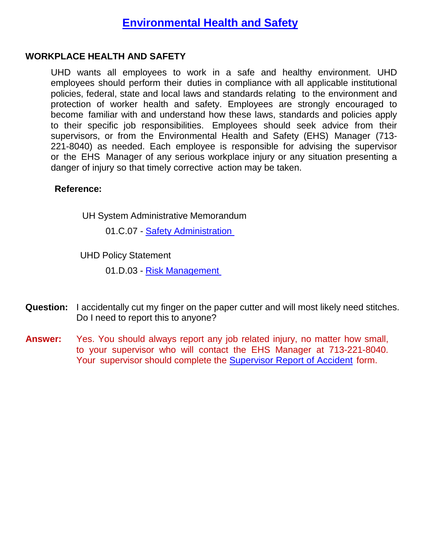### **WORKPLACE HEALTH AND SAFETY**

UHD wants all employees to work in a safe and healthy environment. UHD employees should perform their duties in compliance with all applicable institutional policies, federal, state and local laws and standards relating to the environment and protection of worker health and safety. Employees are strongly encouraged to become familiar with and understand how these laws, standards and policies apply to their specific job responsibilities. Employees should seek advice from their supervisors, or from the Environmental Health and Safety (EHS) Manager (713- 221-8040) as needed. Each employee is responsible for advising the supervisor or the EHS Manager of any serious workplace injury or any situation presenting a danger of injury so that timely corrective action may be taken.

#### **Reference:**

UH System Administrative Memorandum

01.C.07 - Safety [Administration](https://uhsystem.edu/compliance-ethics/_docs/sam/01/1c7.pdf)

UHD Policy Statement

01.D.03 - Risk [Management](https://www.uhd.edu/administration/employment-services-operations/resources/Documents/PS01D03.pdf)

- **Question:** I accidentally cut my finger on the paper cutter and will most likely need stitches. Do I need to report this to anyone?
- **Answer:** Yes. You should always report any job related injury, no matter how small, to your supervisor who will contact the EHS Manager at 713-221-8040. Your supervisor should complete the [Supervisor](https://www.uhd.edu/administration/employment-services-operations/resources/Documents/Supervisor_report_of_accident.pdf) [Report](https://www.uhd.edu/administration/employment-services-operations/resources/Documents/Supervisor_report_of_accident.pdf) of Accident form.